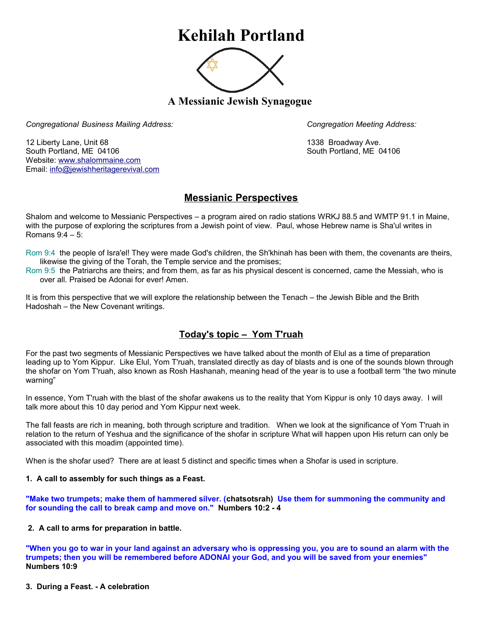# **Kehilah Portland**



**A Messianic Jewish Synagogue** 

*Congregational Business Mailing Address: Congregation Meeting Address:*

12 Liberty Lane, Unit 68 1338 Broadway Ave. South Portland, ME 04106 South Portland, ME 04106 Website: [www.shalommaine.com](http://www.shalommaine.com/) Email: [info@jewishheritagerevival.com](mailto:info@jewishheritagerevival.com) 

# **Messianic Perspectives**

Shalom and welcome to Messianic Perspectives – a program aired on radio stations WRKJ 88.5 and WMTP 91.1 in Maine, with the purpose of exploring the scriptures from a Jewish point of view. Paul, whose Hebrew name is Sha'ul writes in Romans 9:4 – 5:

Rom 9:4 the people of Isra'el! They were made God's children, the Sh'khinah has been with them, the covenants are theirs, likewise the giving of the Torah, the Temple service and the promises;

Rom 9:5 the Patriarchs are theirs; and from them, as far as his physical descent is concerned, came the Messiah, who is over all. Praised be Adonai for ever! Amen.

It is from this perspective that we will explore the relationship between the Tenach – the Jewish Bible and the Brith Hadoshah – the New Covenant writings.

## **Today's topic – Yom T'ruah**

For the past two segments of Messianic Perspectives we have talked about the month of Elul as a time of preparation leading up to Yom Kippur. Like Elul, Yom T'ruah, translated directly as day of blasts and is one of the sounds blown through the shofar on Yom T'ruah, also known as Rosh Hashanah, meaning head of the year is to use a football term "the two minute warning"

In essence, Yom T'ruah with the blast of the shofar awakens us to the reality that Yom Kippur is only 10 days away. I will talk more about this 10 day period and Yom Kippur next week.

The fall feasts are rich in meaning, both through scripture and tradition. When we look at the significance of Yom T'ruah in relation to the return of Yeshua and the significance of the shofar in scripture What will happen upon His return can only be associated with this moadim (appointed time).

When is the shofar used? There are at least 5 distinct and specific times when a Shofar is used in scripture.

#### **1. A call to assembly for such things as a Feast.**

**"Make two trumpets; make them of hammered silver. (chatsotsrah) Use them for summoning the community and for sounding the call to break camp and move on." Numbers 10:2 - 4**

### **2. A call to arms for preparation in battle.**

**"When you go to war in your land against an adversary who is oppressing you, you are to sound an alarm with the trumpets; then you will be remembered before ADONAI your God, and you will be saved from your enemies" Numbers 10:9**

**3. During a Feast. - A celebration**